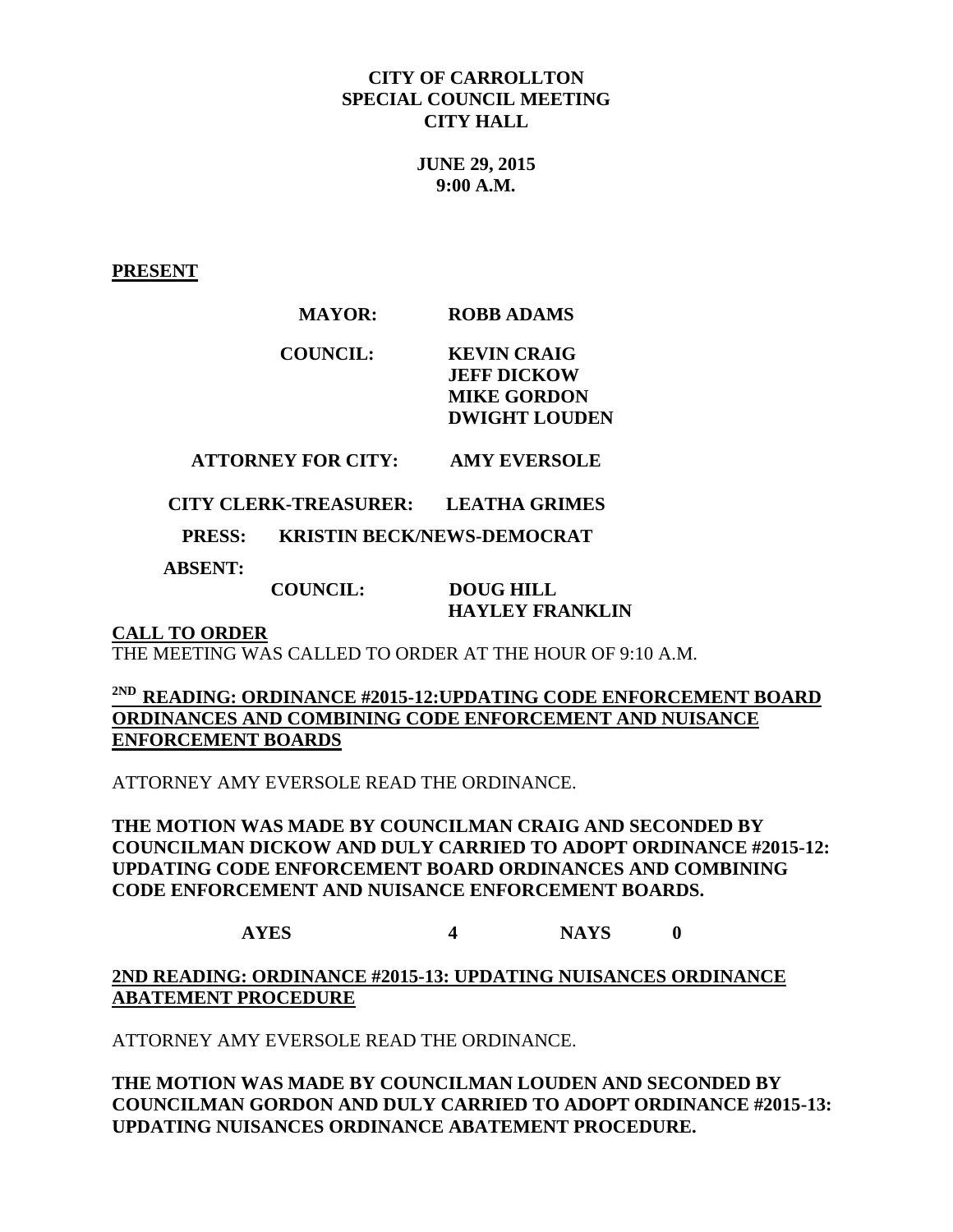#### **CITY OF CARROLLTON SPECIAL COUNCIL MEETING CITY HALL**

**JUNE 29, 2015 9:00 A.M.**

**PRESENT**

### **MAYOR: ROBB ADAMS**

### **COUNCIL: KEVIN CRAIG JEFF DICKOW MIKE GORDON DWIGHT LOUDEN**

# **ATTORNEY FOR CITY: AMY EVERSOLE**

 **CITY CLERK-TREASURER: LEATHA GRIMES**

 **PRESS: KRISTIN BECK/NEWS-DEMOCRAT** 

 **ABSENT:** 

 **COUNCIL: DOUG HILL HAYLEY FRANKLIN**

**CALL TO ORDER**

THE MEETING WAS CALLED TO ORDER AT THE HOUR OF 9:10 A.M.

### **2ND READING: ORDINANCE #2015-12:UPDATING CODE ENFORCEMENT BOARD ORDINANCES AND COMBINING CODE ENFORCEMENT AND NUISANCE ENFORCEMENT BOARDS**

ATTORNEY AMY EVERSOLE READ THE ORDINANCE.

### **THE MOTION WAS MADE BY COUNCILMAN CRAIG AND SECONDED BY COUNCILMAN DICKOW AND DULY CARRIED TO ADOPT ORDINANCE #2015-12: UPDATING CODE ENFORCEMENT BOARD ORDINANCES AND COMBINING CODE ENFORCEMENT AND NUISANCE ENFORCEMENT BOARDS.**

**AYES 4 NAYS 0**

**2ND READING: ORDINANCE #2015-13: UPDATING NUISANCES ORDINANCE ABATEMENT PROCEDURE**

ATTORNEY AMY EVERSOLE READ THE ORDINANCE.

**THE MOTION WAS MADE BY COUNCILMAN LOUDEN AND SECONDED BY COUNCILMAN GORDON AND DULY CARRIED TO ADOPT ORDINANCE #2015-13: UPDATING NUISANCES ORDINANCE ABATEMENT PROCEDURE.**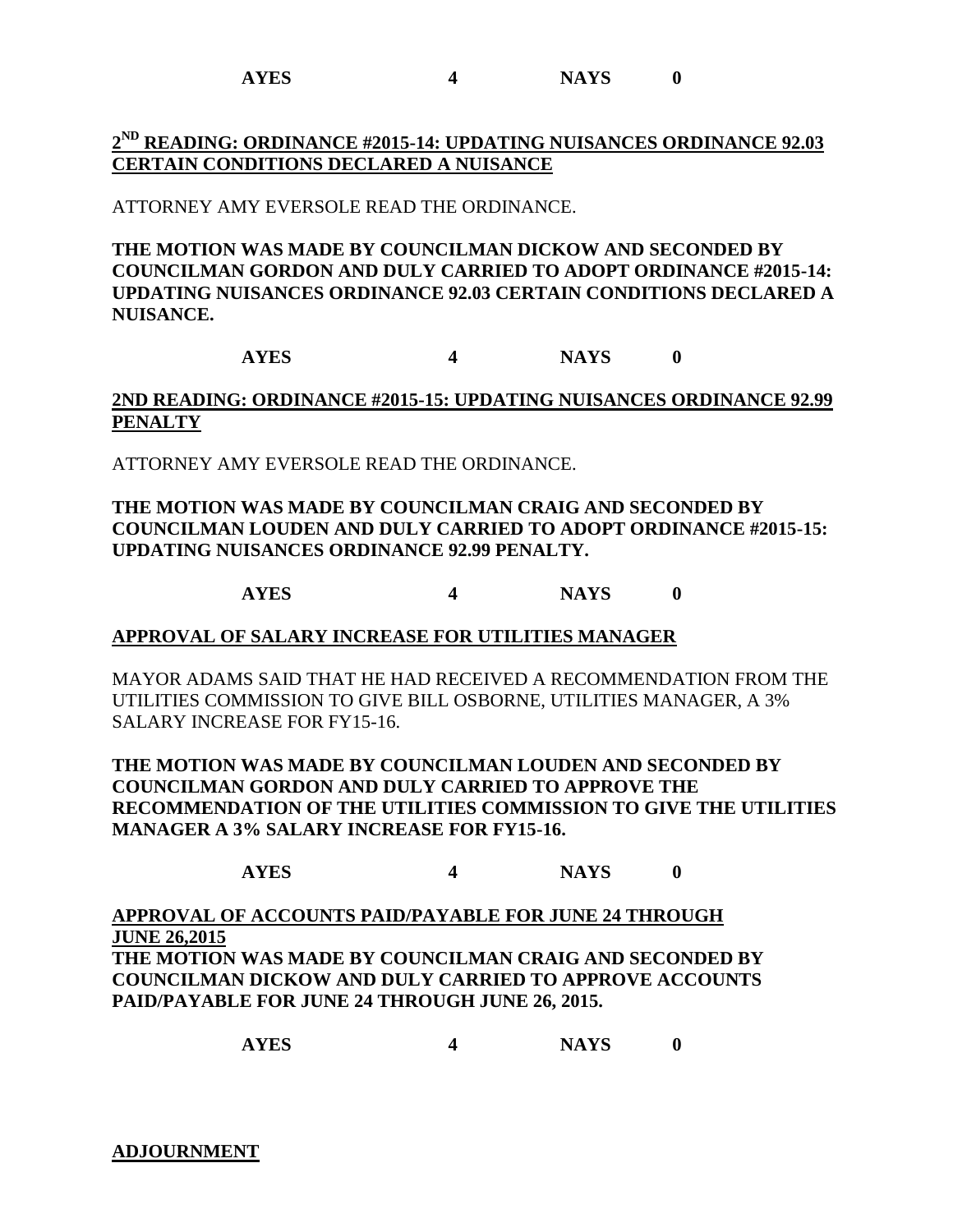**AYES 4 NAYS 0**

# **2 ND READING: ORDINANCE #2015-14: UPDATING NUISANCES ORDINANCE 92.03 CERTAIN CONDITIONS DECLARED A NUISANCE**

ATTORNEY AMY EVERSOLE READ THE ORDINANCE.

**THE MOTION WAS MADE BY COUNCILMAN DICKOW AND SECONDED BY COUNCILMAN GORDON AND DULY CARRIED TO ADOPT ORDINANCE #2015-14: UPDATING NUISANCES ORDINANCE 92.03 CERTAIN CONDITIONS DECLARED A NUISANCE.**

**AYES 4 NAYS 0**

**2ND READING: ORDINANCE #2015-15: UPDATING NUISANCES ORDINANCE 92.99 PENALTY**

ATTORNEY AMY EVERSOLE READ THE ORDINANCE.

### **THE MOTION WAS MADE BY COUNCILMAN CRAIG AND SECONDED BY COUNCILMAN LOUDEN AND DULY CARRIED TO ADOPT ORDINANCE #2015-15: UPDATING NUISANCES ORDINANCE 92.99 PENALTY.**

# **AYES 4 NAYS 0**

#### **APPROVAL OF SALARY INCREASE FOR UTILITIES MANAGER**

MAYOR ADAMS SAID THAT HE HAD RECEIVED A RECOMMENDATION FROM THE UTILITIES COMMISSION TO GIVE BILL OSBORNE, UTILITIES MANAGER, A 3% SALARY INCREASE FOR FY15-16.

**THE MOTION WAS MADE BY COUNCILMAN LOUDEN AND SECONDED BY COUNCILMAN GORDON AND DULY CARRIED TO APPROVE THE RECOMMENDATION OF THE UTILITIES COMMISSION TO GIVE THE UTILITIES MANAGER A 3% SALARY INCREASE FOR FY15-16.**

# **AYES 4 NAYS 0**

**APPROVAL OF ACCOUNTS PAID/PAYABLE FOR JUNE 24 THROUGH JUNE 26,2015 THE MOTION WAS MADE BY COUNCILMAN CRAIG AND SECONDED BY COUNCILMAN DICKOW AND DULY CARRIED TO APPROVE ACCOUNTS PAID/PAYABLE FOR JUNE 24 THROUGH JUNE 26, 2015.**

**AYES 4 NAYS 0**